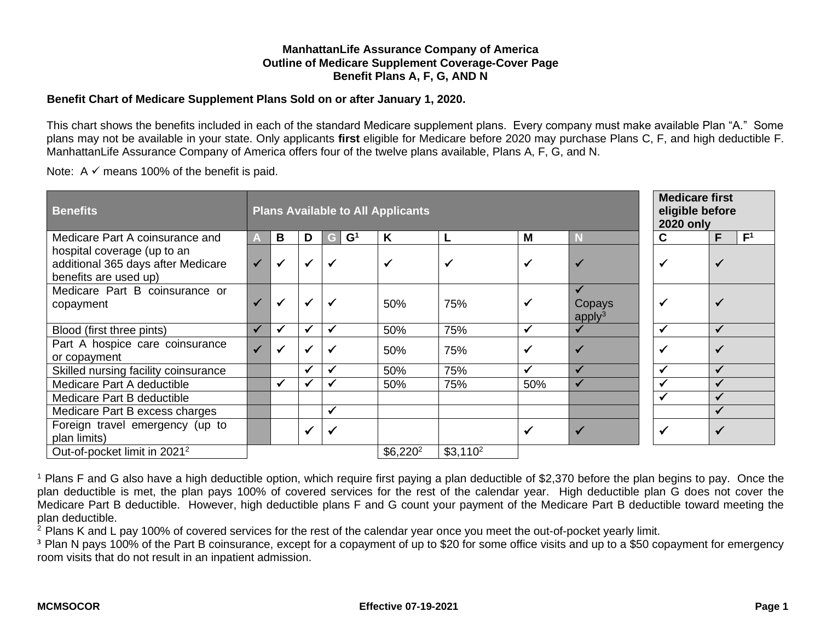### **ManhattanLife Assurance Company of America Outline of Medicare Supplement Coverage-Cover Page Benefit Plans A, F, G, AND N**

### **Benefit Chart of Medicare Supplement Plans Sold on or after January 1, 2020.**

This chart shows the benefits included in each of the standard Medicare supplement plans. Every company must make available Plan "A." Some plans may not be available in your state. Only applicants **first** eligible for Medicare before 2020 may purchase Plans C, F, and high deductible F. ManhattanLife Assurance Company of America offers four of the twelve plans available, Plans A, F, G, and N.

Note:  $A \n\checkmark$  means 100% of the benefit is paid.

| <b>Benefits</b>                                                                            |              |              |              |                     | <b>Plans Available to All Applicants</b> |            |     |                              | <b>2020 only</b> | <b>Medicare first</b><br>eligible before |
|--------------------------------------------------------------------------------------------|--------------|--------------|--------------|---------------------|------------------------------------------|------------|-----|------------------------------|------------------|------------------------------------------|
| Medicare Part A coinsurance and                                                            |              | В            | D            | $\mathbf{G}^1$<br>G | K                                        |            | M   | R                            | C                | F <sup>1</sup><br>F                      |
| hospital coverage (up to an<br>additional 365 days after Medicare<br>benefits are used up) | $\checkmark$ | ✓            | $\checkmark$ | $\checkmark$        | $\checkmark$                             |            |     | $\checkmark$                 |                  |                                          |
| Medicare Part B coinsurance or<br>copayment                                                |              | ✔            | $\checkmark$ | $\checkmark$        | 50%                                      | 75%        |     | Copays<br>apply <sup>3</sup> |                  |                                          |
| Blood (first three pints)                                                                  | ✓            | $\checkmark$ | ✓            | √                   | 50%                                      | 75%        |     | $\checkmark$                 |                  |                                          |
| Part A hospice care coinsurance<br>or copayment                                            | $\checkmark$ |              |              |                     | 50%                                      | 75%        |     | $\checkmark$                 |                  |                                          |
| Skilled nursing facility coinsurance                                                       |              |              | $\checkmark$ |                     | 50%                                      | 75%        |     | $\checkmark$                 |                  |                                          |
| Medicare Part A deductible                                                                 |              | $\checkmark$ | ✓            |                     | 50%                                      | 75%        | 50% | ✔                            |                  |                                          |
| Medicare Part B deductible                                                                 |              |              |              |                     |                                          |            |     |                              |                  |                                          |
| Medicare Part B excess charges                                                             |              |              |              |                     |                                          |            |     |                              |                  |                                          |
| Foreign travel emergency (up to<br>plan limits)                                            |              |              | $\checkmark$ | ✔                   |                                          |            | ✔   | $\checkmark$                 |                  |                                          |
| Out-of-pocket limit in 2021 <sup>2</sup>                                                   |              |              |              |                     | $$6,220^2$                               | $$3,110^2$ |     |                              |                  |                                          |

<sup>1</sup> Plans F and G also have a high deductible option, which require first paying a plan deductible of \$2,370 before the plan begins to pay. Once the plan deductible is met, the plan pays 100% of covered services for the rest of the calendar year. High deductible plan G does not cover the Medicare Part B deductible. However, high deductible plans F and G count your payment of the Medicare Part B deductible toward meeting the plan deductible.

<sup>2</sup> Plans K and L pay 100% of covered services for the rest of the calendar year once you meet the out-of-pocket yearly limit.

<sup>3</sup> Plan N pays 100% of the Part B coinsurance, except for a copayment of up to \$20 for some office visits and up to a \$50 copayment for emergency room visits that do not result in an inpatient admission.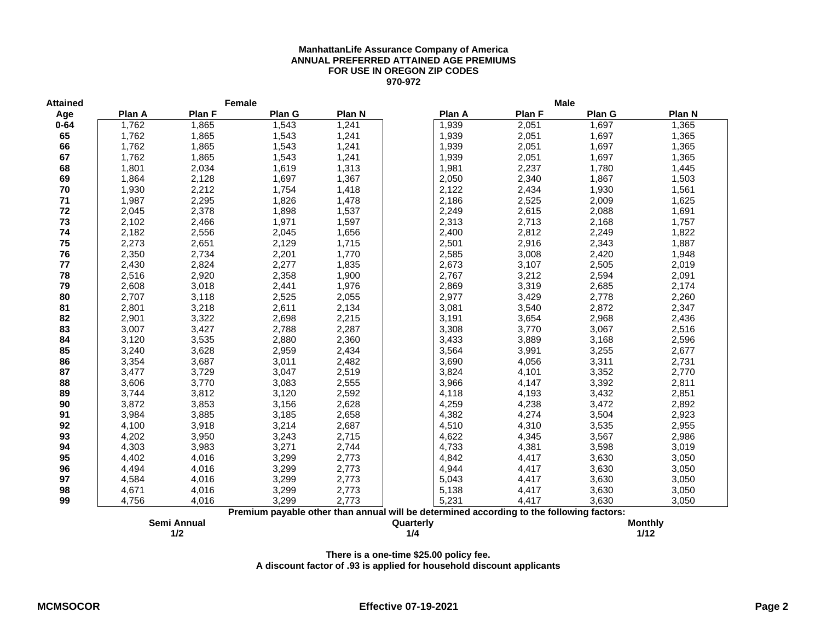#### **ManhattanLife Assurance Company of America ANNUAL PREFERRED ATTAINED AGE PREMIUMS FOR USE IN OREGON ZIP CODES 970-972**

| <b>Attained</b> |        | Female      |        |        |                                                                                          |        | <b>Male</b> |                |
|-----------------|--------|-------------|--------|--------|------------------------------------------------------------------------------------------|--------|-------------|----------------|
| Age             | Plan A | Plan F      | Plan G | Plan N | Plan A                                                                                   | Plan F | Plan G      | Plan N         |
| $0 - 64$        | 1,762  | 1,865       | 1,543  | 1,241  | 1,939                                                                                    | 2,051  | 1,697       | 1,365          |
| 65              | 1,762  | 1,865       | 1,543  | 1,241  | 1,939                                                                                    | 2,051  | 1,697       | 1,365          |
| 66              | 1,762  | 1,865       | 1,543  | 1,241  | 1,939                                                                                    | 2,051  | 1,697       | 1,365          |
| 67              | 1,762  | 1,865       | 1,543  | 1,241  | 1,939                                                                                    | 2,051  | 1,697       | 1,365          |
| 68              | 1,801  | 2,034       | 1,619  | 1,313  | 1,981                                                                                    | 2,237  | 1,780       | 1,445          |
| 69              | 1,864  | 2,128       | 1,697  | 1,367  | 2,050                                                                                    | 2,340  | 1,867       | 1,503          |
| 70              | 1,930  | 2,212       | 1,754  | 1,418  | 2,122                                                                                    | 2,434  | 1,930       | 1,561          |
| 71              | 1,987  | 2,295       | 1,826  | 1,478  | 2,186                                                                                    | 2,525  | 2,009       | 1,625          |
| 72              | 2,045  | 2,378       | 1,898  | 1,537  | 2,249                                                                                    | 2,615  | 2,088       | 1,691          |
| 73              | 2,102  | 2,466       | 1,971  | 1,597  | 2,313                                                                                    | 2,713  | 2,168       | 1,757          |
| 74              | 2,182  | 2,556       | 2,045  | 1,656  | 2,400                                                                                    | 2,812  | 2,249       | 1,822          |
| 75              | 2,273  | 2,651       | 2,129  | 1,715  | 2,501                                                                                    | 2,916  | 2,343       | 1,887          |
| 76              | 2,350  | 2,734       | 2,201  | 1,770  | 2,585                                                                                    | 3,008  | 2,420       | 1,948          |
| 77              | 2,430  | 2,824       | 2,277  | 1,835  | 2,673                                                                                    | 3,107  | 2,505       | 2,019          |
| 78              | 2,516  | 2,920       | 2,358  | 1,900  | 2,767                                                                                    | 3,212  | 2,594       | 2,091          |
| 79              | 2,608  | 3,018       | 2,441  | 1,976  | 2,869                                                                                    | 3,319  | 2,685       | 2,174          |
| 80              | 2,707  | 3,118       | 2,525  | 2,055  | 2,977                                                                                    | 3,429  | 2,778       | 2,260          |
| 81              | 2,801  | 3,218       | 2,611  | 2,134  | 3,081                                                                                    | 3,540  | 2,872       | 2,347          |
| 82              | 2,901  | 3,322       | 2,698  | 2,215  | 3,191                                                                                    | 3,654  | 2,968       | 2,436          |
| 83              | 3,007  | 3,427       | 2,788  | 2,287  | 3,308                                                                                    | 3,770  | 3,067       | 2,516          |
| 84              | 3,120  | 3,535       | 2,880  | 2,360  | 3,433                                                                                    | 3,889  | 3,168       | 2,596          |
| 85              | 3,240  | 3,628       | 2,959  | 2,434  | 3,564                                                                                    | 3,991  | 3,255       | 2,677          |
| 86              | 3,354  | 3,687       | 3,011  | 2,482  | 3,690                                                                                    | 4,056  | 3,311       | 2,731          |
| 87              | 3,477  | 3,729       | 3,047  | 2,519  | 3,824                                                                                    | 4,101  | 3,352       | 2,770          |
| 88              | 3,606  | 3,770       | 3,083  | 2,555  | 3,966                                                                                    | 4,147  | 3,392       | 2,811          |
| 89              | 3,744  | 3,812       | 3,120  | 2,592  | 4,118                                                                                    | 4,193  | 3,432       | 2,851          |
| 90              | 3,872  | 3,853       | 3,156  | 2,628  | 4,259                                                                                    | 4,238  | 3,472       | 2,892          |
| 91              | 3,984  | 3,885       | 3,185  | 2,658  | 4,382                                                                                    | 4,274  | 3,504       | 2,923          |
| 92              | 4,100  | 3,918       | 3,214  | 2,687  | 4,510                                                                                    | 4,310  | 3,535       | 2,955          |
| 93              | 4,202  | 3,950       | 3,243  | 2,715  | 4,622                                                                                    | 4,345  | 3,567       | 2,986          |
| 94              | 4,303  | 3,983       | 3,271  | 2,744  | 4,733                                                                                    | 4,381  | 3,598       | 3,019          |
| 95              | 4,402  | 4,016       | 3,299  | 2,773  | 4,842                                                                                    | 4,417  | 3,630       | 3,050          |
| 96              | 4,494  | 4,016       | 3,299  | 2,773  | 4,944                                                                                    | 4,417  | 3,630       | 3,050          |
| 97              | 4,584  | 4,016       | 3,299  | 2,773  | 5,043                                                                                    | 4,417  | 3,630       | 3,050          |
| 98              | 4,671  | 4,016       | 3,299  | 2,773  | 5,138                                                                                    | 4,417  | 3,630       | 3,050          |
| 99              | 4,756  | 4,016       | 3,299  | 2,773  | 5,231                                                                                    | 4,417  | 3,630       | 3,050          |
|                 |        |             |        |        | Premium payable other than annual will be determined according to the following factors: |        |             |                |
|                 |        | Semi Annual |        |        | Quarterly                                                                                |        |             | <b>Monthly</b> |

**1/2 1/4 1/12**

**There is a one-time \$25.00 policy fee.**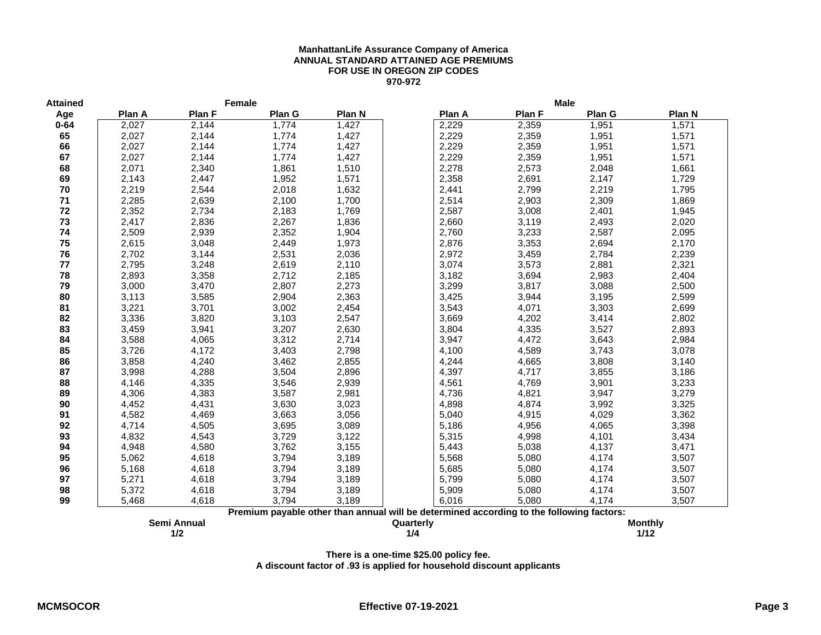#### **ManhattanLife Assurance Company of America ANNUAL STANDARD ATTAINED AGE PREMIUMS FOR USE IN OREGON ZIP CODES 970-972**

| <b>Attained</b> |        | Female        |        |        |                                                                                          |        | <b>Male</b>   |                |
|-----------------|--------|---------------|--------|--------|------------------------------------------------------------------------------------------|--------|---------------|----------------|
| Age             | Plan A | <b>Plan F</b> | Plan G | Plan N | Plan A                                                                                   | Plan F | <b>Plan G</b> | Plan N         |
| $0 - 64$        | 2,027  | 2,144         | 1,774  | 1,427  | 2,229                                                                                    | 2,359  | 1,951         | 1,571          |
| 65              | 2,027  | 2,144         | 1,774  | 1,427  | 2,229                                                                                    | 2,359  | 1,951         | 1,571          |
| 66              | 2,027  | 2,144         | 1,774  | 1,427  | 2,229                                                                                    | 2,359  | 1,951         | 1,571          |
| 67              | 2,027  | 2,144         | 1,774  | 1,427  | 2,229                                                                                    | 2,359  | 1,951         | 1,571          |
| 68              | 2,071  | 2,340         | 1,861  | 1,510  | 2,278                                                                                    | 2,573  | 2,048         | 1,661          |
| 69              | 2,143  | 2,447         | 1,952  | 1,571  | 2,358                                                                                    | 2,691  | 2,147         | 1,729          |
| 70              | 2,219  | 2,544         | 2,018  | 1,632  | 2,441                                                                                    | 2,799  | 2,219         | 1,795          |
| 71              | 2,285  | 2,639         | 2,100  | 1,700  | 2,514                                                                                    | 2,903  | 2,309         | 1,869          |
| 72              | 2,352  | 2,734         | 2,183  | 1,769  | 2,587                                                                                    | 3,008  | 2,401         | 1,945          |
| 73              | 2,417  | 2,836         | 2,267  | 1,836  | 2,660                                                                                    | 3,119  | 2,493         | 2,020          |
| 74              | 2,509  | 2,939         | 2,352  | 1,904  | 2,760                                                                                    | 3,233  | 2,587         | 2,095          |
| 75              | 2,615  | 3,048         | 2,449  | 1,973  | 2,876                                                                                    | 3,353  | 2,694         | 2,170          |
| 76              | 2,702  | 3,144         | 2,531  | 2,036  | 2,972                                                                                    | 3,459  | 2,784         | 2,239          |
| 77              | 2,795  | 3,248         | 2,619  | 2,110  | 3,074                                                                                    | 3,573  | 2,881         | 2,321          |
| 78              | 2,893  | 3,358         | 2,712  | 2,185  | 3,182                                                                                    | 3,694  | 2,983         | 2,404          |
| 79              | 3,000  | 3,470         | 2,807  | 2,273  | 3,299                                                                                    | 3,817  | 3,088         | 2,500          |
| 80              | 3,113  | 3,585         | 2,904  | 2,363  | 3,425                                                                                    | 3,944  | 3,195         | 2,599          |
| 81              | 3,221  | 3,701         | 3,002  | 2,454  | 3,543                                                                                    | 4,071  | 3,303         | 2,699          |
| 82              | 3,336  | 3,820         | 3,103  | 2,547  | 3,669                                                                                    | 4,202  | 3,414         | 2,802          |
| 83              | 3,459  | 3,941         | 3,207  | 2,630  | 3,804                                                                                    | 4,335  | 3,527         | 2,893          |
| 84              | 3,588  | 4,065         | 3,312  | 2,714  | 3,947                                                                                    | 4,472  | 3,643         | 2,984          |
| 85              | 3,726  | 4,172         | 3,403  | 2,798  | 4,100                                                                                    | 4,589  | 3,743         | 3,078          |
| 86              | 3,858  | 4,240         | 3,462  | 2,855  | 4,244                                                                                    | 4,665  | 3,808         | 3,140          |
| 87              | 3,998  | 4,288         | 3,504  | 2,896  | 4,397                                                                                    | 4,717  | 3,855         | 3,186          |
| 88              | 4,146  | 4,335         | 3,546  | 2,939  | 4,561                                                                                    | 4,769  | 3,901         | 3,233          |
| 89              | 4,306  | 4,383         | 3,587  | 2,981  | 4,736                                                                                    | 4,821  | 3,947         | 3,279          |
| 90              | 4,452  | 4,431         | 3,630  | 3,023  | 4,898                                                                                    | 4,874  | 3,992         | 3,325          |
| 91              | 4,582  | 4,469         | 3,663  | 3,056  | 5,040                                                                                    | 4,915  | 4,029         | 3,362          |
| 92              | 4,714  | 4,505         | 3,695  | 3,089  | 5,186                                                                                    | 4,956  | 4,065         | 3,398          |
| 93              | 4,832  | 4,543         | 3,729  | 3,122  | 5,315                                                                                    | 4,998  | 4,101         | 3,434          |
| 94              | 4,948  | 4,580         | 3,762  | 3,155  | 5,443                                                                                    | 5,038  | 4,137         | 3,471          |
| 95              | 5,062  | 4,618         | 3,794  | 3,189  | 5,568                                                                                    | 5,080  | 4,174         | 3,507          |
| 96              | 5,168  | 4,618         | 3,794  | 3,189  | 5,685                                                                                    | 5,080  | 4,174         | 3,507          |
| 97              | 5,271  | 4,618         | 3,794  | 3,189  | 5,799                                                                                    | 5,080  | 4,174         | 3,507          |
| 98              | 5,372  | 4,618         | 3,794  | 3,189  | 5,909                                                                                    | 5,080  | 4,174         | 3,507          |
| 99              | 5,468  | 4,618         | 3,794  | 3,189  | 6,016                                                                                    | 5,080  | 4,174         | 3,507          |
|                 |        |               |        |        | Premium payable other than annual will be determined according to the following factors: |        |               |                |
|                 |        | Semi Annual   |        |        | Quarterly                                                                                |        |               | <b>Monthly</b> |

**1/2 1/4 1/12**

**There is a one-time \$25.00 policy fee.**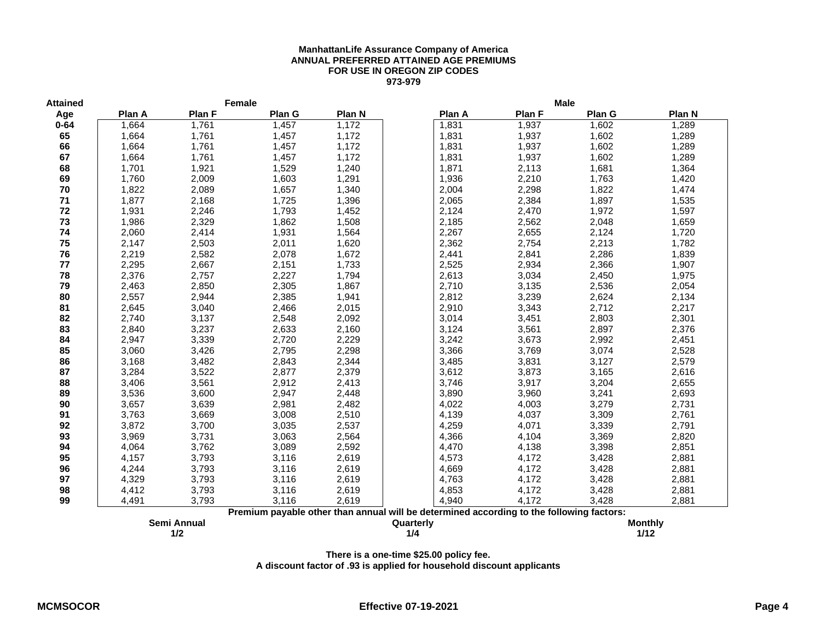#### **ManhattanLife Assurance Company of America ANNUAL PREFERRED ATTAINED AGE PREMIUMS FOR USE IN OREGON ZIP CODES 973-979**

| <b>Attained</b> |        | Female      |        |        |                                                                                          |        | <b>Male</b>   |                |
|-----------------|--------|-------------|--------|--------|------------------------------------------------------------------------------------------|--------|---------------|----------------|
| Age             | Plan A | Plan F      | Plan G | Plan N | Plan A                                                                                   | Plan F | <b>Plan G</b> | Plan N         |
| $0 - 64$        | 1,664  | 1,761       | 1,457  | 1,172  | 1,831                                                                                    | 1,937  | 1,602         | 1,289          |
| 65              | 1,664  | 1,761       | 1,457  | 1,172  | 1,831                                                                                    | 1,937  | 1,602         | 1,289          |
| 66              | 1,664  | 1,761       | 1,457  | 1,172  | 1,831                                                                                    | 1,937  | 1,602         | 1,289          |
| 67              | 1,664  | 1,761       | 1,457  | 1,172  | 1,831                                                                                    | 1,937  | 1,602         | 1,289          |
| 68              | 1,701  | 1,921       | 1,529  | 1,240  | 1,871                                                                                    | 2,113  | 1,681         | 1,364          |
| 69              | 1,760  | 2,009       | 1,603  | 1,291  | 1,936                                                                                    | 2,210  | 1,763         | 1,420          |
| 70              | 1,822  | 2,089       | 1,657  | 1,340  | 2,004                                                                                    | 2,298  | 1,822         | 1,474          |
| 71              | 1,877  | 2,168       | 1,725  | 1,396  | 2,065                                                                                    | 2,384  | 1,897         | 1,535          |
| 72              | 1,931  | 2,246       | 1,793  | 1,452  | 2,124                                                                                    | 2,470  | 1,972         | 1,597          |
| 73              | 1,986  | 2,329       | 1,862  | 1,508  | 2,185                                                                                    | 2,562  | 2,048         | 1,659          |
| 74              | 2,060  | 2,414       | 1,931  | 1,564  | 2,267                                                                                    | 2,655  | 2,124         | 1,720          |
| 75              | 2,147  | 2,503       | 2,011  | 1,620  | 2,362                                                                                    | 2,754  | 2,213         | 1,782          |
| 76              | 2,219  | 2,582       | 2,078  | 1,672  | 2,441                                                                                    | 2,841  | 2,286         | 1,839          |
| 77              | 2,295  | 2,667       | 2,151  | 1,733  | 2,525                                                                                    | 2,934  | 2,366         | 1,907          |
| 78              | 2,376  | 2,757       | 2,227  | 1,794  | 2,613                                                                                    | 3,034  | 2,450         | 1,975          |
| 79              | 2,463  | 2,850       | 2,305  | 1,867  | 2,710                                                                                    | 3,135  | 2,536         | 2,054          |
| 80              | 2,557  | 2,944       | 2,385  | 1,941  | 2,812                                                                                    | 3,239  | 2,624         | 2,134          |
| 81              | 2,645  | 3,040       | 2,466  | 2,015  | 2,910                                                                                    | 3,343  | 2,712         | 2,217          |
| 82              | 2,740  | 3,137       | 2,548  | 2,092  | 3,014                                                                                    | 3,451  | 2,803         | 2,301          |
| 83              | 2,840  | 3,237       | 2,633  | 2,160  | 3,124                                                                                    | 3,561  | 2,897         | 2,376          |
| 84              | 2,947  | 3,339       | 2,720  | 2,229  | 3,242                                                                                    | 3,673  | 2,992         | 2,451          |
| 85              | 3,060  | 3,426       | 2,795  | 2,298  | 3,366                                                                                    | 3,769  | 3,074         | 2,528          |
| 86              | 3,168  | 3,482       | 2,843  | 2,344  | 3,485                                                                                    | 3,831  | 3,127         | 2,579          |
| 87              | 3,284  | 3,522       | 2,877  | 2,379  | 3,612                                                                                    | 3,873  | 3,165         | 2,616          |
| 88              | 3,406  | 3,561       | 2,912  | 2,413  | 3,746                                                                                    | 3,917  | 3,204         | 2,655          |
| 89              | 3,536  | 3,600       | 2,947  | 2,448  | 3,890                                                                                    | 3,960  | 3,241         | 2,693          |
| 90              | 3,657  | 3,639       | 2,981  | 2,482  | 4,022                                                                                    | 4,003  | 3,279         | 2,731          |
| 91              | 3,763  | 3,669       | 3,008  | 2,510  | 4,139                                                                                    | 4,037  | 3,309         | 2,761          |
| 92              | 3,872  | 3,700       | 3,035  | 2,537  | 4,259                                                                                    | 4,071  | 3,339         | 2,791          |
| 93              | 3,969  | 3,731       | 3,063  | 2,564  | 4,366                                                                                    | 4,104  | 3,369         | 2,820          |
| 94              | 4,064  | 3,762       | 3,089  | 2,592  | 4,470                                                                                    | 4,138  | 3,398         | 2,851          |
| 95              | 4,157  | 3,793       | 3,116  | 2,619  | 4,573                                                                                    | 4,172  | 3,428         | 2,881          |
| 96              | 4,244  | 3,793       | 3,116  | 2,619  | 4,669                                                                                    | 4,172  | 3,428         | 2,881          |
| 97              | 4,329  | 3,793       | 3,116  | 2,619  | 4,763                                                                                    | 4,172  | 3,428         | 2,881          |
| 98              | 4,412  | 3,793       | 3,116  | 2,619  | 4,853                                                                                    | 4,172  | 3,428         | 2,881          |
| 99              | 4,491  | 3,793       | 3,116  | 2,619  | 4,940                                                                                    | 4,172  | 3,428         | 2,881          |
|                 |        |             |        |        | Premium payable other than annual will be determined according to the following factors: |        |               |                |
|                 |        | Semi Annual |        |        | Quarterly                                                                                |        |               | <b>Monthly</b> |

**There is a one-time \$25.00 policy fee.**

**1/2 1/4 1/12**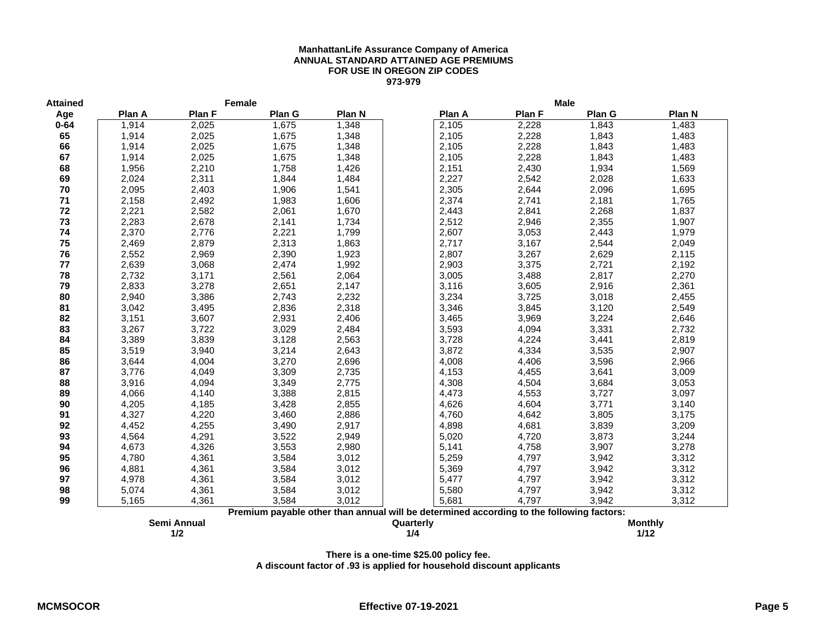#### **ManhattanLife Assurance Company of America ANNUAL STANDARD ATTAINED AGE PREMIUMS FOR USE IN OREGON ZIP CODES 973-979**

| <b>Attained</b> |        | Female      |        |        |                                                                                          |        | <b>Male</b> |                |
|-----------------|--------|-------------|--------|--------|------------------------------------------------------------------------------------------|--------|-------------|----------------|
| Age             | Plan A | Plan F      | Plan G | Plan N | Plan A                                                                                   | Plan F | Plan G      | Plan N         |
| $0 - 64$        | 1,914  | 2,025       | 1,675  | 1,348  | 2,105                                                                                    | 2,228  | 1,843       | 1,483          |
| 65              | 1,914  | 2,025       | 1,675  | 1,348  | 2,105                                                                                    | 2,228  | 1,843       | 1,483          |
| 66              | 1,914  | 2,025       | 1,675  | 1,348  | 2,105                                                                                    | 2,228  | 1,843       | 1,483          |
| 67              | 1,914  | 2,025       | 1,675  | 1,348  | 2,105                                                                                    | 2,228  | 1,843       | 1,483          |
| 68              | 1,956  | 2,210       | 1,758  | 1,426  | 2,151                                                                                    | 2,430  | 1,934       | 1,569          |
| 69              | 2,024  | 2,311       | 1,844  | 1,484  | 2,227                                                                                    | 2,542  | 2,028       | 1,633          |
| 70              | 2,095  | 2,403       | 1,906  | 1,541  | 2,305                                                                                    | 2,644  | 2,096       | 1,695          |
| 71              | 2,158  | 2,492       | 1,983  | 1,606  | 2,374                                                                                    | 2,741  | 2,181       | 1,765          |
| 72              | 2,221  | 2,582       | 2,061  | 1,670  | 2,443                                                                                    | 2,841  | 2,268       | 1,837          |
| 73              | 2,283  | 2,678       | 2,141  | 1,734  | 2,512                                                                                    | 2,946  | 2,355       | 1,907          |
| 74              | 2,370  | 2,776       | 2,221  | 1,799  | 2,607                                                                                    | 3,053  | 2,443       | 1,979          |
| 75              | 2,469  | 2,879       | 2,313  | 1,863  | 2,717                                                                                    | 3,167  | 2,544       | 2,049          |
| 76              | 2,552  | 2,969       | 2,390  | 1,923  | 2,807                                                                                    | 3,267  | 2,629       | 2,115          |
| 77              | 2,639  | 3,068       | 2,474  | 1,992  | 2,903                                                                                    | 3,375  | 2,721       | 2,192          |
| 78              | 2,732  | 3,171       | 2,561  | 2,064  | 3,005                                                                                    | 3,488  | 2,817       | 2,270          |
| 79              | 2,833  | 3,278       | 2,651  | 2,147  | 3,116                                                                                    | 3,605  | 2,916       | 2,361          |
| 80              | 2,940  | 3,386       | 2,743  | 2,232  | 3,234                                                                                    | 3,725  | 3,018       | 2,455          |
| 81              | 3,042  | 3,495       | 2,836  | 2,318  | 3,346                                                                                    | 3,845  | 3,120       | 2,549          |
| 82              | 3,151  | 3,607       | 2,931  | 2,406  | 3,465                                                                                    | 3,969  | 3,224       | 2,646          |
| 83              | 3,267  | 3,722       | 3,029  | 2,484  | 3,593                                                                                    | 4,094  | 3,331       | 2,732          |
| 84              | 3,389  | 3,839       | 3,128  | 2,563  | 3,728                                                                                    | 4,224  | 3,441       | 2,819          |
| 85              | 3,519  | 3,940       | 3,214  | 2,643  | 3,872                                                                                    | 4,334  | 3,535       | 2,907          |
| 86              | 3,644  | 4,004       | 3,270  | 2,696  | 4,008                                                                                    | 4,406  | 3,596       | 2,966          |
| 87              | 3,776  | 4,049       | 3,309  | 2,735  | 4,153                                                                                    | 4,455  | 3,641       | 3,009          |
| 88              | 3,916  | 4,094       | 3,349  | 2,775  | 4,308                                                                                    | 4,504  | 3,684       | 3,053          |
| 89              | 4,066  | 4,140       | 3,388  | 2,815  | 4,473                                                                                    | 4,553  | 3,727       | 3,097          |
| 90              | 4,205  | 4,185       | 3,428  | 2,855  | 4,626                                                                                    | 4,604  | 3,771       | 3,140          |
| 91              | 4,327  | 4,220       | 3,460  | 2,886  | 4,760                                                                                    | 4,642  | 3,805       | 3,175          |
| 92              | 4,452  | 4,255       | 3,490  | 2,917  | 4,898                                                                                    | 4,681  | 3,839       | 3,209          |
| 93              | 4,564  | 4,291       | 3,522  | 2,949  | 5,020                                                                                    | 4,720  | 3,873       | 3,244          |
| 94              | 4,673  | 4,326       | 3,553  | 2,980  | 5,141                                                                                    | 4,758  | 3,907       | 3,278          |
| 95              | 4,780  | 4,361       | 3,584  | 3,012  | 5,259                                                                                    | 4,797  | 3,942       | 3,312          |
| 96              | 4,881  | 4,361       | 3,584  | 3,012  | 5,369                                                                                    | 4,797  | 3,942       | 3,312          |
| 97              | 4,978  | 4,361       | 3,584  | 3,012  | 5,477                                                                                    | 4,797  | 3,942       | 3,312          |
| 98              | 5,074  | 4,361       | 3,584  | 3,012  | 5,580                                                                                    | 4,797  | 3,942       | 3,312          |
| 99              | 5,165  | 4,361       | 3,584  | 3,012  | 5,681                                                                                    | 4,797  | 3,942       | 3,312          |
|                 |        |             |        |        | Premium payable other than annual will be determined according to the following factors: |        |             |                |
|                 |        | Semi Annual |        |        | Quarterly                                                                                |        |             | <b>Monthly</b> |

**1/2 1/4 1/12**

**There is a one-time \$25.00 policy fee.**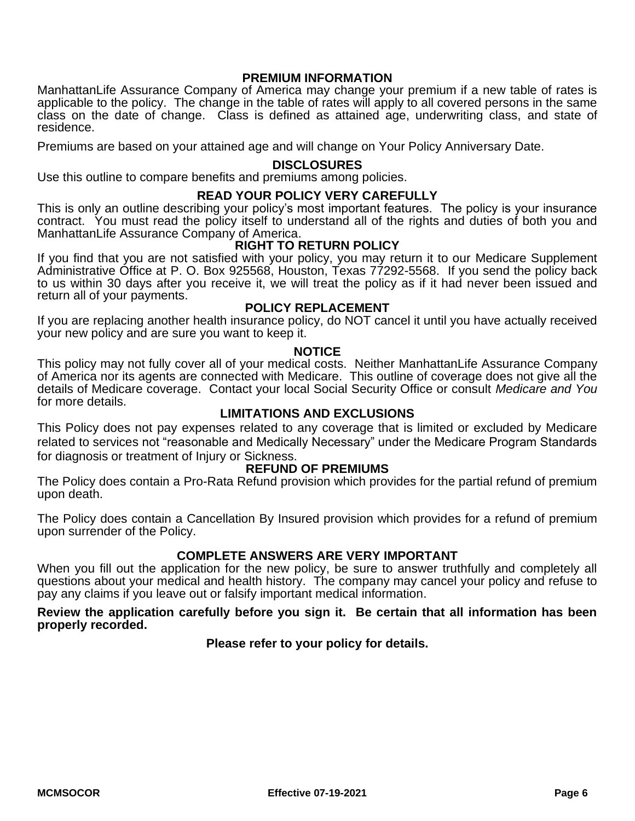### **PREMIUM INFORMATION**

ManhattanLife Assurance Company of America may change your premium if a new table of rates is applicable to the policy. The change in the table of rates will apply to all covered persons in the same class on the date of change. Class is defined as attained age, underwriting class, and state of residence.

Premiums are based on your attained age and will change on Your Policy Anniversary Date.

### **DISCLOSURES**

Use this outline to compare benefits and premiums among policies.

### **READ YOUR POLICY VERY CAREFULLY**

This is only an outline describing your policy's most important features. The policy is your insurance contract. You must read the policy itself to understand all of the rights and duties of both you and ManhattanLife Assurance Company of America.

### **RIGHT TO RETURN POLICY**

If you find that you are not satisfied with your policy, you may return it to our Medicare Supplement Administrative Office at P. O. Box 925568, Houston, Texas 77292-5568. If you send the policy back to us within 30 days after you receive it, we will treat the policy as if it had never been issued and return all of your payments.

### **POLICY REPLACEMENT**

If you are replacing another health insurance policy, do NOT cancel it until you have actually received your new policy and are sure you want to keep it.

#### **NOTICE**

This policy may not fully cover all of your medical costs. Neither ManhattanLife Assurance Company of America nor its agents are connected with Medicare. This outline of coverage does not give all the details of Medicare coverage. Contact your local Social Security Office or consult *Medicare and You* for more details.

### **LIMITATIONS AND EXCLUSIONS**

This Policy does not pay expenses related to any coverage that is limited or excluded by Medicare related to services not "reasonable and Medically Necessary" under the Medicare Program Standards for diagnosis or treatment of Injury or Sickness.

### **REFUND OF PREMIUMS**

The Policy does contain a Pro-Rata Refund provision which provides for the partial refund of premium upon death.

The Policy does contain a Cancellation By Insured provision which provides for a refund of premium upon surrender of the Policy.

### **COMPLETE ANSWERS ARE VERY IMPORTANT**

When you fill out the application for the new policy, be sure to answer truthfully and completely all questions about your medical and health history. The company may cancel your policy and refuse to pay any claims if you leave out or falsify important medical information.

### **Review the application carefully before you sign it. Be certain that all information has been properly recorded.**

### **Please refer to your policy for details.**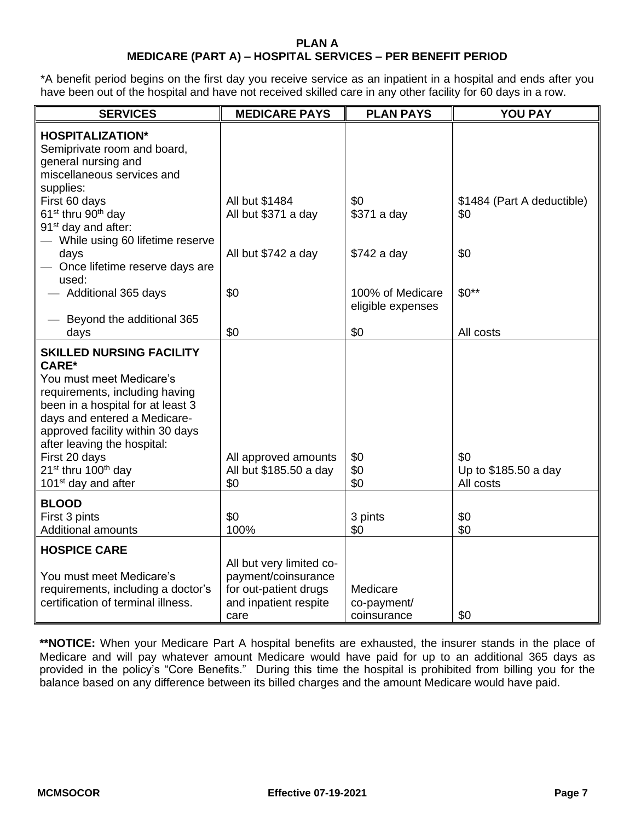### **PLAN A MEDICARE (PART A) – HOSPITAL SERVICES – PER BENEFIT PERIOD**

\*A benefit period begins on the first day you receive service as an inpatient in a hospital and ends after you have been out of the hospital and have not received skilled care in any other facility for 60 days in a row.

| <b>SERVICES</b>                                                                                                                                                                                                                                                                                                                                          | <b>MEDICARE PAYS</b>                                                                                      | <b>PLAN PAYS</b>                       | YOU PAY                                  |
|----------------------------------------------------------------------------------------------------------------------------------------------------------------------------------------------------------------------------------------------------------------------------------------------------------------------------------------------------------|-----------------------------------------------------------------------------------------------------------|----------------------------------------|------------------------------------------|
| <b>HOSPITALIZATION*</b><br>Semiprivate room and board,<br>general nursing and<br>miscellaneous services and                                                                                                                                                                                                                                              |                                                                                                           |                                        |                                          |
| supplies:<br>First 60 days<br>61 <sup>st</sup> thru 90 <sup>th</sup> day<br>91 <sup>st</sup> day and after:<br>- While using 60 lifetime reserve                                                                                                                                                                                                         | All but \$1484<br>All but \$371 a day                                                                     | \$0<br>\$371 a day                     | \$1484 (Part A deductible)<br>\$0        |
| days<br>- Once lifetime reserve days are<br>used:                                                                                                                                                                                                                                                                                                        | All but \$742 a day                                                                                       | \$742 a day                            | \$0                                      |
| - Additional 365 days                                                                                                                                                                                                                                                                                                                                    | \$0                                                                                                       | 100% of Medicare<br>eligible expenses  | $$0**$                                   |
| - Beyond the additional 365<br>days                                                                                                                                                                                                                                                                                                                      | \$0                                                                                                       | \$0                                    | All costs                                |
| <b>SKILLED NURSING FACILITY</b><br><b>CARE*</b><br>You must meet Medicare's<br>requirements, including having<br>been in a hospital for at least 3<br>days and entered a Medicare-<br>approved facility within 30 days<br>after leaving the hospital:<br>First 20 days<br>21 <sup>st</sup> thru 100 <sup>th</sup> day<br>101 <sup>st</sup> day and after | All approved amounts<br>All but \$185.50 a day<br>\$0                                                     | \$0<br>\$0<br>\$0                      | \$0<br>Up to \$185.50 a day<br>All costs |
| <b>BLOOD</b><br>First 3 pints<br><b>Additional amounts</b>                                                                                                                                                                                                                                                                                               | \$0<br>100%                                                                                               | 3 pints<br>\$0                         | \$0<br>\$0                               |
| <b>HOSPICE CARE</b><br>You must meet Medicare's<br>requirements, including a doctor's<br>certification of terminal illness.                                                                                                                                                                                                                              | All but very limited co-<br>payment/coinsurance<br>for out-patient drugs<br>and inpatient respite<br>care | Medicare<br>co-payment/<br>coinsurance | \$0                                      |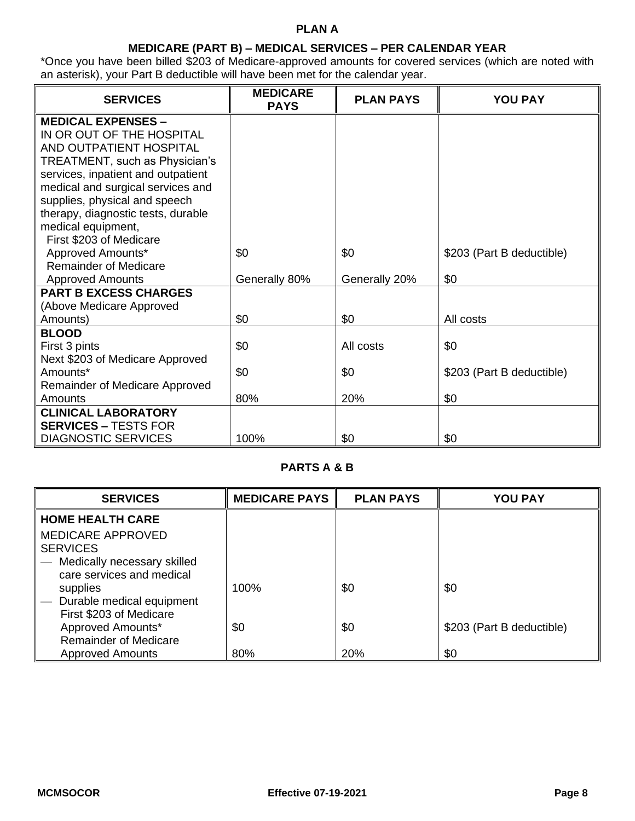# **PLAN A**

### **MEDICARE (PART B) – MEDICAL SERVICES – PER CALENDAR YEAR**

\*Once you have been billed \$203 of Medicare-approved amounts for covered services (which are noted with an asterisk), your Part B deductible will have been met for the calendar year.

| <b>SERVICES</b>                                                      | <b>MEDICARE</b><br><b>PAYS</b> | <b>PLAN PAYS</b> | <b>YOU PAY</b>            |
|----------------------------------------------------------------------|--------------------------------|------------------|---------------------------|
| <b>MEDICAL EXPENSES -</b>                                            |                                |                  |                           |
| IN OR OUT OF THE HOSPITAL                                            |                                |                  |                           |
| AND OUTPATIENT HOSPITAL                                              |                                |                  |                           |
| TREATMENT, such as Physician's<br>services, inpatient and outpatient |                                |                  |                           |
| medical and surgical services and                                    |                                |                  |                           |
| supplies, physical and speech                                        |                                |                  |                           |
| therapy, diagnostic tests, durable                                   |                                |                  |                           |
| medical equipment,                                                   |                                |                  |                           |
| First \$203 of Medicare                                              |                                |                  |                           |
| Approved Amounts*                                                    | \$0                            | \$0              | \$203 (Part B deductible) |
| <b>Remainder of Medicare</b>                                         |                                |                  |                           |
| <b>Approved Amounts</b><br><b>PART B EXCESS CHARGES</b>              | Generally 80%                  | Generally 20%    | \$0                       |
| (Above Medicare Approved                                             |                                |                  |                           |
| Amounts)                                                             | \$0                            | \$0              | All costs                 |
| <b>BLOOD</b>                                                         |                                |                  |                           |
| First 3 pints                                                        | \$0                            | All costs        | \$0                       |
| Next \$203 of Medicare Approved                                      |                                |                  |                           |
| Amounts*                                                             | \$0                            | \$0              | \$203 (Part B deductible) |
| Remainder of Medicare Approved                                       |                                |                  |                           |
| Amounts                                                              | 80%                            | 20%              | \$0                       |
| <b>CLINICAL LABORATORY</b>                                           |                                |                  |                           |
| <b>SERVICES - TESTS FOR</b>                                          |                                |                  |                           |
| <b>DIAGNOSTIC SERVICES</b>                                           | 100%                           | \$0              | \$0                       |

## **PARTS A & B**

| <b>SERVICES</b>              | <b>MEDICARE PAYS</b> | <b>PLAN PAYS</b> | <b>YOU PAY</b>            |
|------------------------------|----------------------|------------------|---------------------------|
| <b>HOME HEALTH CARE</b>      |                      |                  |                           |
| <b>MEDICARE APPROVED</b>     |                      |                  |                           |
| <b>SERVICES</b>              |                      |                  |                           |
| Medically necessary skilled  |                      |                  |                           |
| care services and medical    |                      |                  |                           |
| supplies                     | 100%                 | \$0              | \$0                       |
| Durable medical equipment    |                      |                  |                           |
| First \$203 of Medicare      |                      |                  |                           |
| Approved Amounts*            | \$0                  | \$0              | \$203 (Part B deductible) |
| <b>Remainder of Medicare</b> |                      |                  |                           |
| <b>Approved Amounts</b>      | 80%                  | 20%              | \$0                       |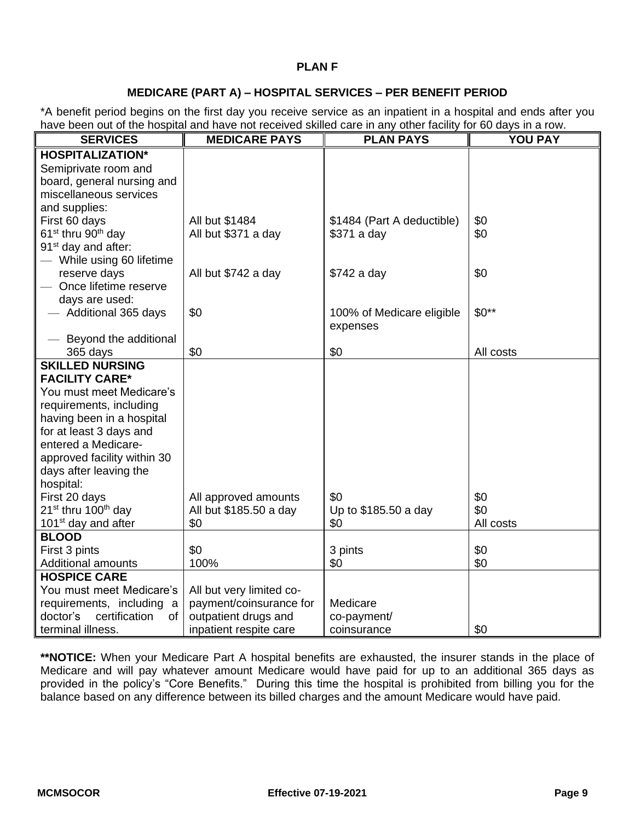### **PLAN F**

### **MEDICARE (PART A) – HOSPITAL SERVICES – PER BENEFIT PERIOD**

\*A benefit period begins on the first day you receive service as an inpatient in a hospital and ends after you have been out of the hospital and have not received skilled care in any other facility for 60 days in a row.

| <b>SERVICES</b>                                              | <b>MEDICARE PAYS</b>                           | $\ldots$ and $\ldots$<br><b>PLAN PAYS</b> | <b>YOU PAY</b> |
|--------------------------------------------------------------|------------------------------------------------|-------------------------------------------|----------------|
| <b>HOSPITALIZATION*</b>                                      |                                                |                                           |                |
| Semiprivate room and                                         |                                                |                                           |                |
| board, general nursing and                                   |                                                |                                           |                |
| miscellaneous services                                       |                                                |                                           |                |
| and supplies:                                                |                                                |                                           |                |
| First 60 days                                                | All but \$1484                                 | \$1484 (Part A deductible)                | \$0            |
| 61 <sup>st</sup> thru 90 <sup>th</sup> day                   | All but \$371 a day                            | \$371 a day                               | \$0            |
| 91 <sup>st</sup> day and after:                              |                                                |                                           |                |
| - While using 60 lifetime                                    |                                                |                                           |                |
| reserve days                                                 | All but \$742 a day                            | \$742 a day                               | \$0            |
| - Once lifetime reserve                                      |                                                |                                           |                |
| days are used:                                               |                                                |                                           |                |
| - Additional 365 days                                        | \$0                                            | 100% of Medicare eligible                 | $$0**$         |
|                                                              |                                                | expenses                                  |                |
| - Beyond the additional                                      |                                                |                                           |                |
| 365 days                                                     | \$0                                            | \$0                                       | All costs      |
| <b>SKILLED NURSING</b>                                       |                                                |                                           |                |
| <b>FACILITY CARE*</b>                                        |                                                |                                           |                |
| You must meet Medicare's                                     |                                                |                                           |                |
| requirements, including                                      |                                                |                                           |                |
| having been in a hospital                                    |                                                |                                           |                |
| for at least 3 days and                                      |                                                |                                           |                |
| entered a Medicare-                                          |                                                |                                           |                |
| approved facility within 30                                  |                                                |                                           |                |
| days after leaving the                                       |                                                |                                           |                |
| hospital:                                                    |                                                |                                           | \$0            |
| First 20 days<br>21 <sup>st</sup> thru 100 <sup>th</sup> day | All approved amounts<br>All but \$185.50 a day | \$0<br>Up to \$185.50 a day               | \$0            |
| 101 <sup>st</sup> day and after                              | \$0                                            | \$0                                       | All costs      |
| <b>BLOOD</b>                                                 |                                                |                                           |                |
| First 3 pints                                                | \$0                                            | 3 pints                                   | \$0            |
| Additional amounts                                           | 100%                                           | \$0                                       | \$0            |
| <b>HOSPICE CARE</b>                                          |                                                |                                           |                |
| You must meet Medicare's                                     | All but very limited co-                       |                                           |                |
| requirements, including a                                    | payment/coinsurance for                        | Medicare                                  |                |
| certification<br>doctor's<br>of                              | outpatient drugs and                           | co-payment/                               |                |
| terminal illness.                                            | inpatient respite care                         | coinsurance                               | \$0            |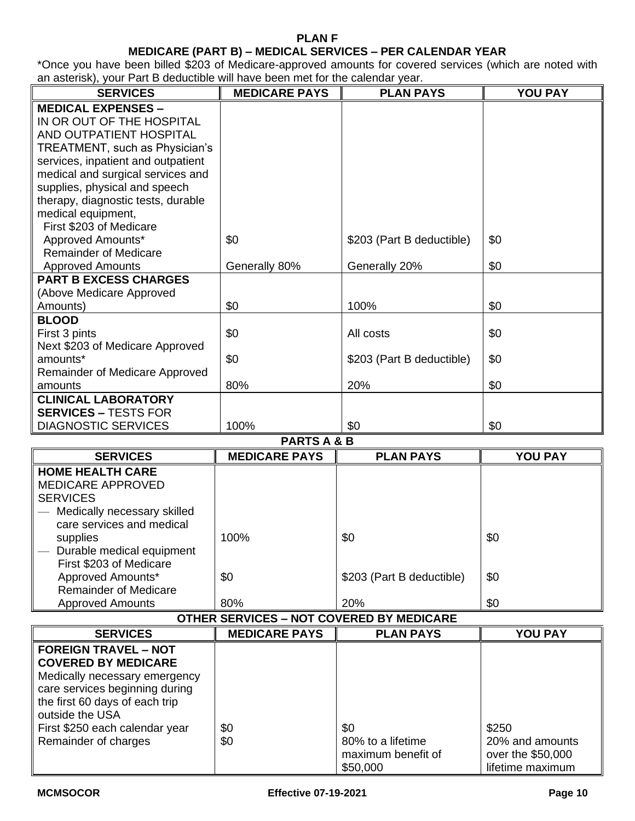#### **PLAN F**

## **MEDICARE (PART B) – MEDICAL SERVICES – PER CALENDAR YEAR**

\*Once you have been billed \$203 of Medicare-approved amounts for covered services (which are noted with an asterisk), your Part B deductible will have been met for the calendar year.

| <b>SERVICES</b>                               | <b>MEDICARE PAYS</b> | <b>PLAN PAYS</b>          | <b>YOU PAY</b> |
|-----------------------------------------------|----------------------|---------------------------|----------------|
| <b>MEDICAL EXPENSES -</b>                     |                      |                           |                |
| IN OR OUT OF THE HOSPITAL                     |                      |                           |                |
| AND OUTPATIENT HOSPITAL                       |                      |                           |                |
| TREATMENT, such as Physician's                |                      |                           |                |
| services, inpatient and outpatient            |                      |                           |                |
| medical and surgical services and             |                      |                           |                |
| supplies, physical and speech                 |                      |                           |                |
| therapy, diagnostic tests, durable            |                      |                           |                |
| medical equipment,<br>First \$203 of Medicare |                      |                           |                |
| Approved Amounts*                             | \$0                  | \$203 (Part B deductible) | \$0            |
| <b>Remainder of Medicare</b>                  |                      |                           |                |
| <b>Approved Amounts</b>                       | Generally 80%        | Generally 20%             | \$0            |
| <b>PART B EXCESS CHARGES</b>                  |                      |                           |                |
| (Above Medicare Approved                      |                      |                           |                |
| Amounts)                                      | \$0                  | 100%                      | \$0            |
| <b>BLOOD</b>                                  |                      |                           |                |
| First 3 pints                                 | \$0                  | All costs                 | \$0            |
| Next \$203 of Medicare Approved               |                      |                           |                |
| amounts*                                      | \$0                  | \$203 (Part B deductible) | \$0            |
| Remainder of Medicare Approved                |                      |                           |                |
| amounts                                       | 80%                  | 20%                       | \$0            |
| <b>CLINICAL LABORATORY</b>                    |                      |                           |                |
| <b>SERVICES - TESTS FOR</b>                   |                      |                           |                |
| <b>DIAGNOSTIC SERVICES</b>                    | 100%                 | \$0                       | \$0            |

**PARTS A & B**

| <b>SERVICES</b>              | <b>MEDICARE PAYS</b> | <b>PLAN PAYS</b>          | <b>YOU PAY</b> |
|------------------------------|----------------------|---------------------------|----------------|
| <b>HOME HEALTH CARE</b>      |                      |                           |                |
| <b>MEDICARE APPROVED</b>     |                      |                           |                |
| <b>SERVICES</b>              |                      |                           |                |
| Medically necessary skilled  |                      |                           |                |
| care services and medical    |                      |                           |                |
| supplies                     | 100%                 | \$0                       | \$0            |
| Durable medical equipment    |                      |                           |                |
| First \$203 of Medicare      |                      |                           |                |
| Approved Amounts*            | \$0                  | \$203 (Part B deductible) | \$0            |
| <b>Remainder of Medicare</b> |                      |                           |                |
| <b>Approved Amounts</b>      | 80%                  | 20%                       | \$0            |

### **OTHER SERVICES – NOT COVERED BY MEDICARE**

| <b>SERVICES</b>                                                                                                                                                                   | <b>MEDICARE PAYS</b> | <b>PLAN PAYS</b>                                           | <b>YOU PAY</b>                                                    |
|-----------------------------------------------------------------------------------------------------------------------------------------------------------------------------------|----------------------|------------------------------------------------------------|-------------------------------------------------------------------|
| <b>FOREIGN TRAVEL - NOT</b><br><b>COVERED BY MEDICARE</b><br>Medically necessary emergency<br>care services beginning during<br>the first 60 days of each trip<br>outside the USA |                      |                                                            |                                                                   |
| First \$250 each calendar year<br>Remainder of charges                                                                                                                            | \$0<br>\$0           | \$0<br>80% to a lifetime<br>maximum benefit of<br>\$50,000 | \$250<br>20% and amounts<br>over the \$50,000<br>lifetime maximum |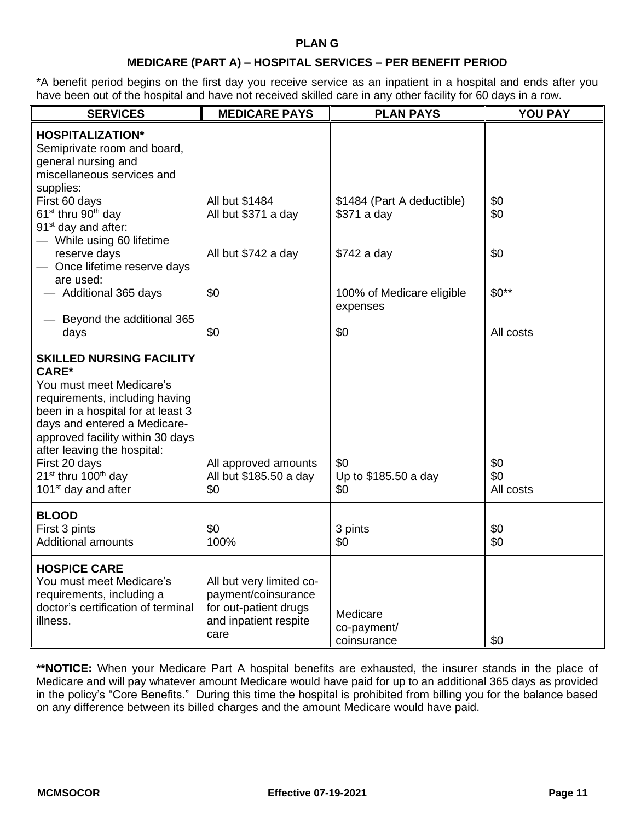## **MEDICARE (PART A) – HOSPITAL SERVICES – PER BENEFIT PERIOD**

\*A benefit period begins on the first day you receive service as an inpatient in a hospital and ends after you have been out of the hospital and have not received skilled care in any other facility for 60 days in a row.

| <b>SERVICES</b>                                                                                                                                                                                                                                                                                                       | <b>MEDICARE PAYS</b>                                                                                      | <b>PLAN PAYS</b>                          | YOU PAY    |
|-----------------------------------------------------------------------------------------------------------------------------------------------------------------------------------------------------------------------------------------------------------------------------------------------------------------------|-----------------------------------------------------------------------------------------------------------|-------------------------------------------|------------|
| <b>HOSPITALIZATION*</b><br>Semiprivate room and board,<br>general nursing and<br>miscellaneous services and<br>supplies:                                                                                                                                                                                              |                                                                                                           |                                           |            |
| First 60 days<br>61 <sup>st</sup> thru 90 <sup>th</sup> day<br>91 <sup>st</sup> day and after:<br>- While using 60 lifetime                                                                                                                                                                                           | All but \$1484<br>All but \$371 a day                                                                     | \$1484 (Part A deductible)<br>\$371 a day | \$0<br>\$0 |
| reserve days<br>- Once lifetime reserve days<br>are used:                                                                                                                                                                                                                                                             | All but \$742 a day                                                                                       | \$742 a day                               | \$0        |
| - Additional 365 days                                                                                                                                                                                                                                                                                                 | \$0                                                                                                       | 100% of Medicare eligible<br>expenses     | $$0**$     |
| Beyond the additional 365<br>days                                                                                                                                                                                                                                                                                     | \$0                                                                                                       | \$0                                       | All costs  |
| <b>SKILLED NURSING FACILITY</b><br><b>CARE*</b><br>You must meet Medicare's<br>requirements, including having<br>been in a hospital for at least 3<br>days and entered a Medicare-<br>approved facility within 30 days<br>after leaving the hospital:<br>First 20 days<br>21 <sup>st</sup> thru 100 <sup>th</sup> day | All approved amounts<br>All but \$185.50 a day                                                            | \$0                                       | \$0<br>\$0 |
| 101 <sup>st</sup> day and after                                                                                                                                                                                                                                                                                       | \$0                                                                                                       | Up to \$185.50 a day<br>\$0               | All costs  |
| <b>BLOOD</b><br>First 3 pints<br><b>Additional amounts</b>                                                                                                                                                                                                                                                            | \$0<br>100%                                                                                               | 3 pints<br>\$0                            | \$0<br>\$0 |
| <b>HOSPICE CARE</b><br>You must meet Medicare's<br>requirements, including a<br>doctor's certification of terminal<br>illness.                                                                                                                                                                                        | All but very limited co-<br>payment/coinsurance<br>for out-patient drugs<br>and inpatient respite<br>care | Medicare<br>co-payment/<br>coinsurance    | \$0        |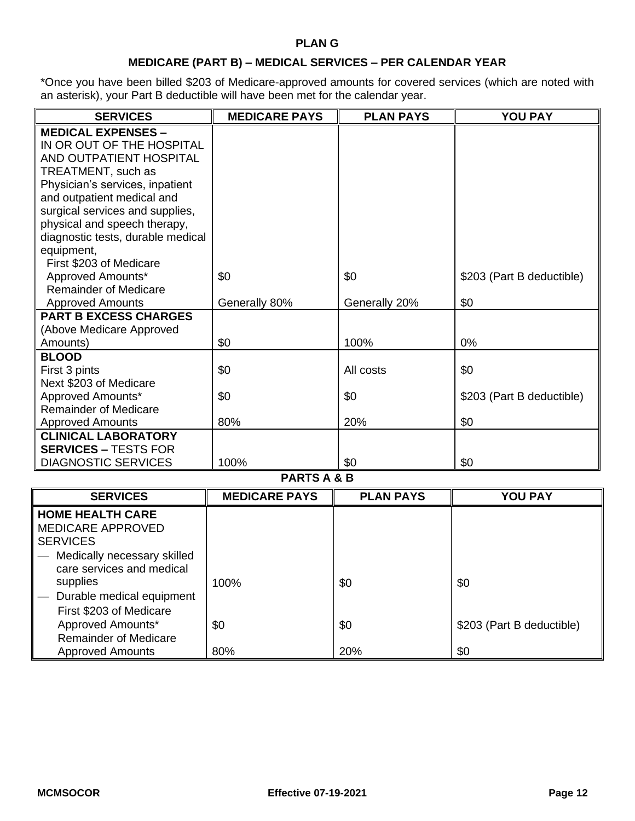## **PLAN G**

# **MEDICARE (PART B) – MEDICAL SERVICES – PER CALENDAR YEAR**

\*Once you have been billed \$203 of Medicare-approved amounts for covered services (which are noted with an asterisk), your Part B deductible will have been met for the calendar year.

| <b>SERVICES</b>                   | <b>MEDICARE PAYS</b> | <b>PLAN PAYS</b> | <b>YOU PAY</b>            |
|-----------------------------------|----------------------|------------------|---------------------------|
| <b>MEDICAL EXPENSES -</b>         |                      |                  |                           |
| IN OR OUT OF THE HOSPITAL         |                      |                  |                           |
| AND OUTPATIENT HOSPITAL           |                      |                  |                           |
| TREATMENT, such as                |                      |                  |                           |
| Physician's services, inpatient   |                      |                  |                           |
| and outpatient medical and        |                      |                  |                           |
| surgical services and supplies,   |                      |                  |                           |
| physical and speech therapy,      |                      |                  |                           |
| diagnostic tests, durable medical |                      |                  |                           |
| equipment,                        |                      |                  |                           |
| First \$203 of Medicare           |                      |                  |                           |
| Approved Amounts*                 | \$0                  | \$0              | \$203 (Part B deductible) |
| <b>Remainder of Medicare</b>      |                      |                  |                           |
| <b>Approved Amounts</b>           | Generally 80%        | Generally 20%    | \$0                       |
| <b>PART B EXCESS CHARGES</b>      |                      |                  |                           |
| (Above Medicare Approved          |                      |                  |                           |
| Amounts)                          | \$0                  | 100%             | 0%                        |
| <b>BLOOD</b>                      |                      |                  |                           |
| First 3 pints                     | \$0                  | All costs        | \$0                       |
| Next \$203 of Medicare            |                      |                  |                           |
| Approved Amounts*                 | \$0                  | \$0              | \$203 (Part B deductible) |
| <b>Remainder of Medicare</b>      |                      |                  |                           |
| <b>Approved Amounts</b>           | 80%                  | 20%              | \$0                       |
| <b>CLINICAL LABORATORY</b>        |                      |                  |                           |
| <b>SERVICES - TESTS FOR</b>       |                      |                  |                           |
| <b>DIAGNOSTIC SERVICES</b>        | 100%                 | \$0              | \$0                       |

#### **PARTS A & B**

| <b>SERVICES</b>                                     | <b>MEDICARE PAYS</b> | <b>PLAN PAYS</b> | <b>YOU PAY</b>            |
|-----------------------------------------------------|----------------------|------------------|---------------------------|
| <b>HOME HEALTH CARE</b><br><b>MEDICARE APPROVED</b> |                      |                  |                           |
| <b>SERVICES</b>                                     |                      |                  |                           |
| Medically necessary skilled                         |                      |                  |                           |
| care services and medical                           |                      |                  |                           |
| supplies                                            | 100%                 | \$0              | \$0                       |
| Durable medical equipment                           |                      |                  |                           |
| First \$203 of Medicare                             |                      |                  |                           |
| Approved Amounts*                                   | \$0                  | \$0              | \$203 (Part B deductible) |
| <b>Remainder of Medicare</b>                        |                      |                  |                           |
| <b>Approved Amounts</b>                             | 80%                  | 20%              | \$0                       |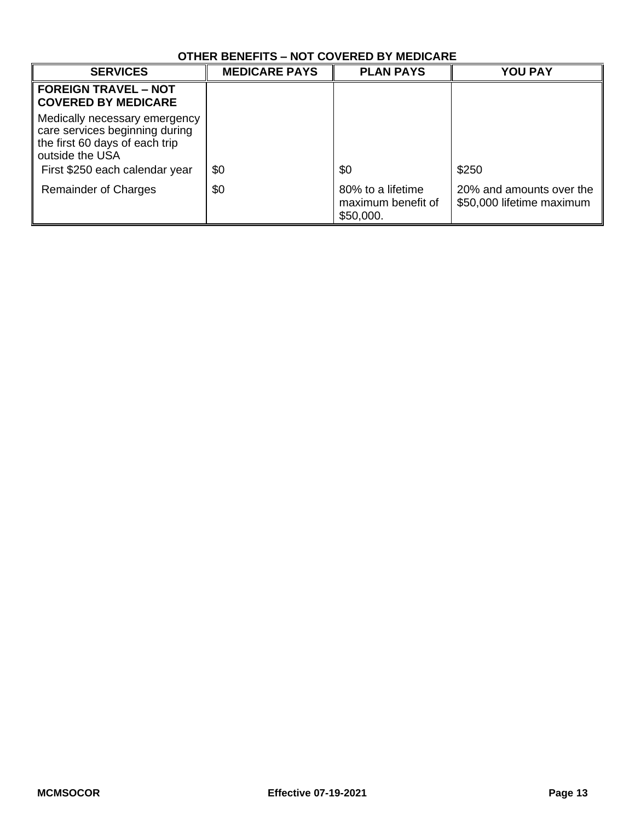| OTHER BENEFITS – NOT COVERED BY MEDICARE                                                                                                               |                      |                                                      |                                                       |
|--------------------------------------------------------------------------------------------------------------------------------------------------------|----------------------|------------------------------------------------------|-------------------------------------------------------|
| <b>SERVICES</b>                                                                                                                                        | <b>MEDICARE PAYS</b> | <b>PLAN PAYS</b>                                     | <b>YOU PAY</b>                                        |
| <b>FOREIGN TRAVEL - NOT</b><br><b>COVERED BY MEDICARE</b>                                                                                              |                      |                                                      |                                                       |
| Medically necessary emergency<br>care services beginning during<br>the first 60 days of each trip<br>outside the USA<br>First \$250 each calendar year | \$0                  | \$0                                                  | \$250                                                 |
| Remainder of Charges                                                                                                                                   | \$0                  | 80% to a lifetime<br>maximum benefit of<br>\$50,000. | 20% and amounts over the<br>\$50,000 lifetime maximum |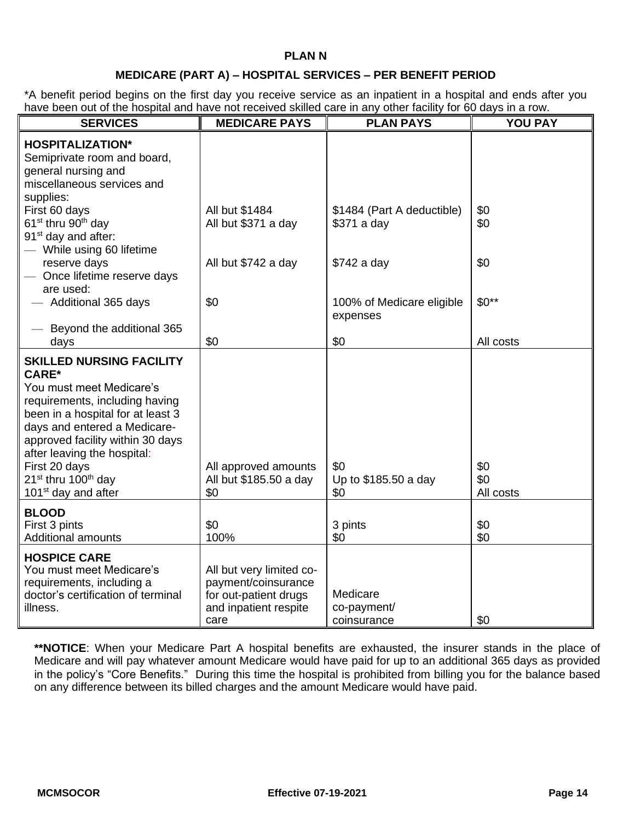### **PLAN N**

### **MEDICARE (PART A) – HOSPITAL SERVICES – PER BENEFIT PERIOD**

\*A benefit period begins on the first day you receive service as an inpatient in a hospital and ends after you have been out of the hospital and have not received skilled care in any other facility for 60 days in a row.

| have been out of the hospital and have not recorded onlined eare in any other hability for occupant a row.<br><b>SERVICES</b>                                                                                                                                                                                                                            | <b>MEDICARE PAYS</b>                                                                                      | <b>PLAN PAYS</b>                          | <b>YOU PAY</b>          |
|----------------------------------------------------------------------------------------------------------------------------------------------------------------------------------------------------------------------------------------------------------------------------------------------------------------------------------------------------------|-----------------------------------------------------------------------------------------------------------|-------------------------------------------|-------------------------|
| <b>HOSPITALIZATION*</b><br>Semiprivate room and board,<br>general nursing and<br>miscellaneous services and<br>supplies:                                                                                                                                                                                                                                 |                                                                                                           |                                           |                         |
| First 60 days<br>61 <sup>st</sup> thru 90 <sup>th</sup> day<br>91 <sup>st</sup> day and after:<br>- While using 60 lifetime                                                                                                                                                                                                                              | All but \$1484<br>All but \$371 a day                                                                     | \$1484 (Part A deductible)<br>\$371 a day | \$0<br>\$0              |
| reserve days<br>- Once lifetime reserve days<br>are used:                                                                                                                                                                                                                                                                                                | All but \$742 a day                                                                                       | \$742 a day                               | \$0                     |
| - Additional 365 days<br>- Beyond the additional 365                                                                                                                                                                                                                                                                                                     | \$0                                                                                                       | 100% of Medicare eligible<br>expenses     | $$0**$                  |
| days                                                                                                                                                                                                                                                                                                                                                     | \$0                                                                                                       | \$0                                       | All costs               |
| <b>SKILLED NURSING FACILITY</b><br><b>CARE*</b><br>You must meet Medicare's<br>requirements, including having<br>been in a hospital for at least 3<br>days and entered a Medicare-<br>approved facility within 30 days<br>after leaving the hospital:<br>First 20 days<br>21 <sup>st</sup> thru 100 <sup>th</sup> day<br>101 <sup>st</sup> day and after | All approved amounts<br>All but \$185.50 a day<br>\$0                                                     | \$0<br>Up to \$185.50 a day<br>\$0        | \$0<br>\$0<br>All costs |
| <b>BLOOD</b><br>First 3 pints<br><b>Additional amounts</b>                                                                                                                                                                                                                                                                                               | \$0<br>100%                                                                                               | 3 pints<br>\$0                            | \$0<br>\$0              |
| <b>HOSPICE CARE</b><br>You must meet Medicare's<br>requirements, including a<br>doctor's certification of terminal<br>illness.                                                                                                                                                                                                                           | All but very limited co-<br>payment/coinsurance<br>for out-patient drugs<br>and inpatient respite<br>care | Medicare<br>co-payment/<br>coinsurance    | \$0                     |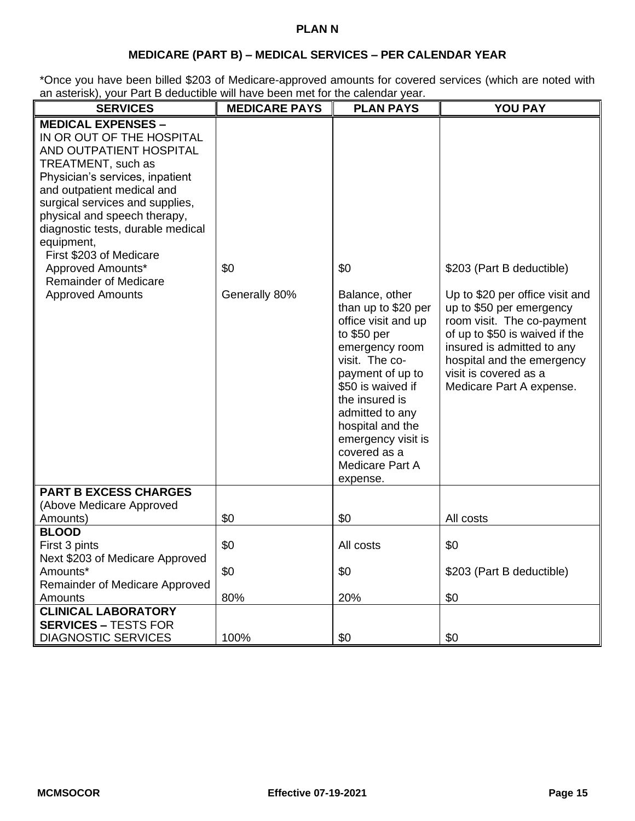## **PLAN N**

# **MEDICARE (PART B) – MEDICAL SERVICES – PER CALENDAR YEAR**

\*Once you have been billed \$203 of Medicare-approved amounts for covered services (which are noted with an asterisk), your Part B deductible will have been met for the calendar year.

| <b>SERVICES</b>                                                                                                                                                                                                                                                                                                                                                                                           | <b>MEDICARE PAYS</b> | <b>PLAN PAYS</b>                                                                                                                                                                                                                                                                              | <b>YOU PAY</b>                                                                                                                                                                                                                                                            |
|-----------------------------------------------------------------------------------------------------------------------------------------------------------------------------------------------------------------------------------------------------------------------------------------------------------------------------------------------------------------------------------------------------------|----------------------|-----------------------------------------------------------------------------------------------------------------------------------------------------------------------------------------------------------------------------------------------------------------------------------------------|---------------------------------------------------------------------------------------------------------------------------------------------------------------------------------------------------------------------------------------------------------------------------|
| <b>MEDICAL EXPENSES -</b><br>IN OR OUT OF THE HOSPITAL<br>AND OUTPATIENT HOSPITAL<br>TREATMENT, such as<br>Physician's services, inpatient<br>and outpatient medical and<br>surgical services and supplies,<br>physical and speech therapy,<br>diagnostic tests, durable medical<br>equipment,<br>First \$203 of Medicare<br>Approved Amounts*<br><b>Remainder of Medicare</b><br><b>Approved Amounts</b> | \$0<br>Generally 80% | \$0<br>Balance, other<br>than up to \$20 per<br>office visit and up<br>to \$50 per<br>emergency room<br>visit. The co-<br>payment of up to<br>\$50 is waived if<br>the insured is<br>admitted to any<br>hospital and the<br>emergency visit is<br>covered as a<br>Medicare Part A<br>expense. | \$203 (Part B deductible)<br>Up to \$20 per office visit and<br>up to \$50 per emergency<br>room visit. The co-payment<br>of up to \$50 is waived if the<br>insured is admitted to any<br>hospital and the emergency<br>visit is covered as a<br>Medicare Part A expense. |
| <b>PART B EXCESS CHARGES</b><br>(Above Medicare Approved<br>Amounts)                                                                                                                                                                                                                                                                                                                                      | \$0                  | \$0                                                                                                                                                                                                                                                                                           | All costs                                                                                                                                                                                                                                                                 |
| <b>BLOOD</b><br>First 3 pints<br>Next \$203 of Medicare Approved                                                                                                                                                                                                                                                                                                                                          | \$0                  | All costs                                                                                                                                                                                                                                                                                     | \$0                                                                                                                                                                                                                                                                       |
| Amounts*<br>Remainder of Medicare Approved<br>Amounts                                                                                                                                                                                                                                                                                                                                                     | \$0<br>80%           | \$0<br>20%                                                                                                                                                                                                                                                                                    | \$203 (Part B deductible)<br>\$0                                                                                                                                                                                                                                          |
| <b>CLINICAL LABORATORY</b><br><b>SERVICES - TESTS FOR</b><br><b>DIAGNOSTIC SERVICES</b>                                                                                                                                                                                                                                                                                                                   | 100%                 | \$0                                                                                                                                                                                                                                                                                           | \$0                                                                                                                                                                                                                                                                       |